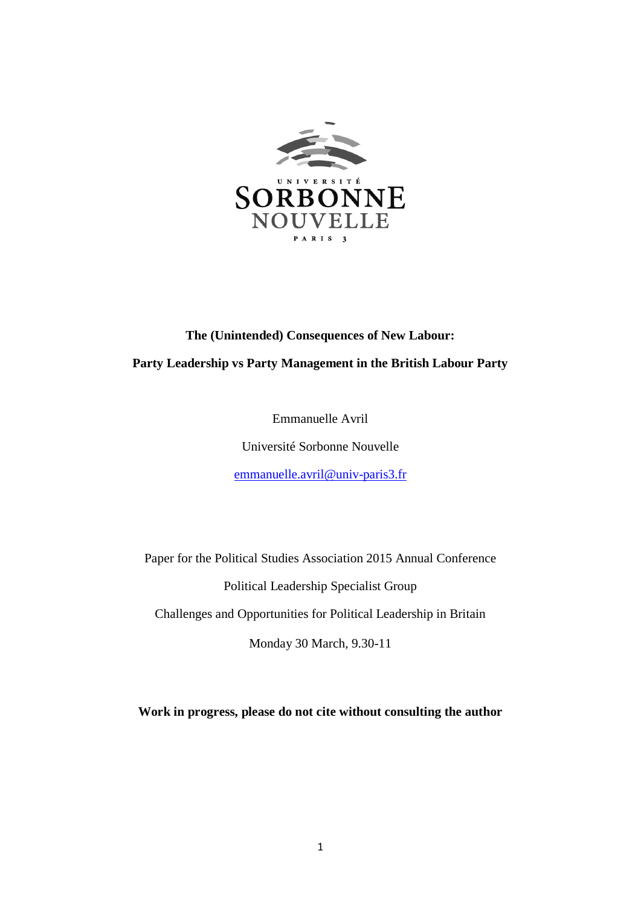

# **The (Unintended) Consequences of New Labour: Party Leadership vs Party Management in the British Labour Party**

Emmanuelle Avril

Université Sorbonne Nouvelle

[emmanuelle.avril@univ-paris3.fr](mailto:emmanuelle.avril@univ-paris3.fr)

Paper for the Political Studies Association 2015 Annual Conference Political Leadership Specialist Group Challenges and Opportunities for Political Leadership in Britain Monday 30 March, 9.30-11

**Work in progress, please do not cite without consulting the author**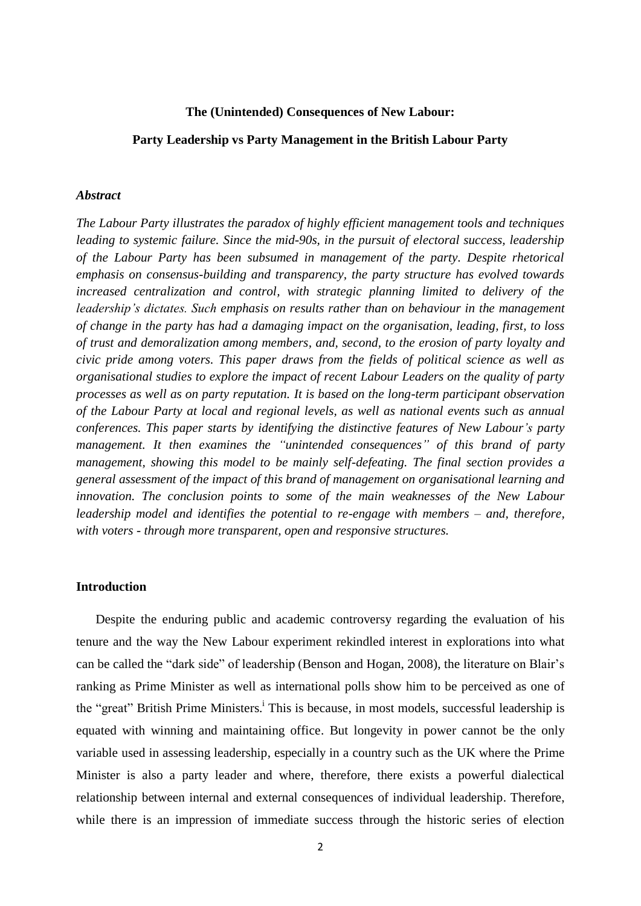#### **The (Unintended) Consequences of New Labour:**

#### **Party Leadership vs Party Management in the British Labour Party**

#### *Abstract*

*The Labour Party illustrates the paradox of highly efficient management tools and techniques leading to systemic failure. Since the mid-90s, in the pursuit of electoral success, leadership of the Labour Party has been subsumed in management of the party. Despite rhetorical emphasis on consensus-building and transparency, the party structure has evolved towards increased centralization and control, with strategic planning limited to delivery of the leadership's dictates. Such emphasis on results rather than on behaviour in the management of change in the party has had a damaging impact on the organisation, leading, first, to loss of trust and demoralization among members, and, second, to the erosion of party loyalty and civic pride among voters. This paper draws from the fields of political science as well as organisational studies to explore the impact of recent Labour Leaders on the quality of party processes as well as on party reputation. It is based on the long-term participant observation of the Labour Party at local and regional levels, as well as national events such as annual conferences. This paper starts by identifying the distinctive features of New Labour's party management. It then examines the "unintended consequences" of this brand of party management, showing this model to be mainly self-defeating. The final section provides a general assessment of the impact of this brand of management on organisational learning and innovation. The conclusion points to some of the main weaknesses of the New Labour leadership model and identifies the potential to re-engage with members – and, therefore, with voters - through more transparent, open and responsive structures.*

## **Introduction**

Despite the enduring public and academic controversy regarding the evaluation of his tenure and the way the New Labour experiment rekindled interest in explorations into what can be called the "dark side" of leadership (Benson and Hogan, 2008), the literature on Blair's ranking as Prime Minister as well as international polls show him to be perceived as one of the "great" British Prime Ministers.<sup>i</sup> This is because, in most models, successful leadership is equated with winning and maintaining office. But longevity in power cannot be the only variable used in assessing leadership, especially in a country such as the UK where the Prime Minister is also a party leader and where, therefore, there exists a powerful dialectical relationship between internal and external consequences of individual leadership. Therefore, while there is an impression of immediate success through the historic series of election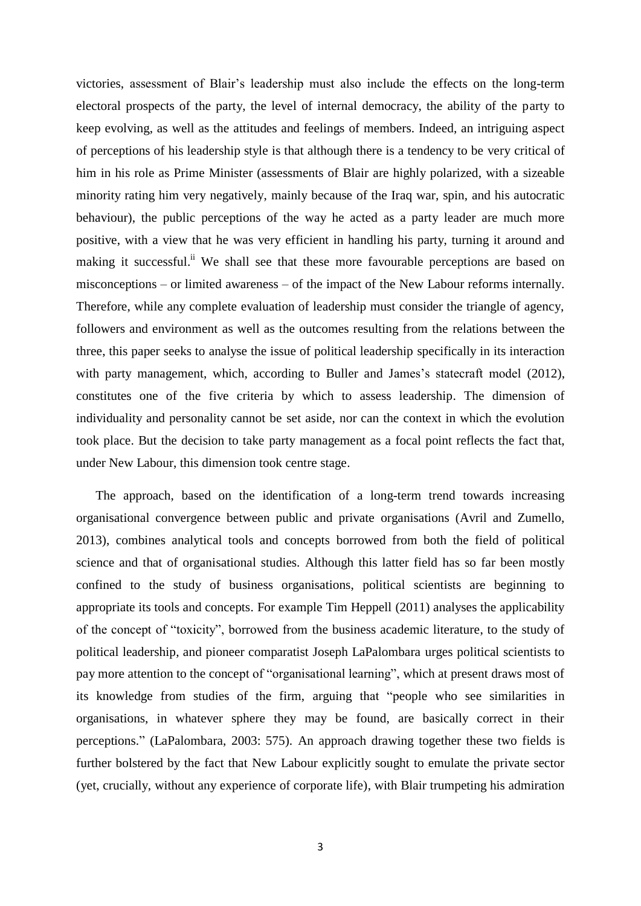victories, assessment of Blair's leadership must also include the effects on the long-term electoral prospects of the party, the level of internal democracy, the ability of the party to keep evolving, as well as the attitudes and feelings of members. Indeed, an intriguing aspect of perceptions of his leadership style is that although there is a tendency to be very critical of him in his role as Prime Minister (assessments of Blair are highly polarized, with a sizeable minority rating him very negatively, mainly because of the Iraq war, spin, and his autocratic behaviour), the public perceptions of the way he acted as a party leader are much more positive, with a view that he was very efficient in handling his party, turning it around and making it successful.<sup>ii</sup> We shall see that these more favourable perceptions are based on misconceptions – or limited awareness – of the impact of the New Labour reforms internally. Therefore, while any complete evaluation of leadership must consider the triangle of agency, followers and environment as well as the outcomes resulting from the relations between the three, this paper seeks to analyse the issue of political leadership specifically in its interaction with party management, which, according to Buller and James's statecraft model (2012), constitutes one of the five criteria by which to assess leadership. The dimension of individuality and personality cannot be set aside, nor can the context in which the evolution took place. But the decision to take party management as a focal point reflects the fact that, under New Labour, this dimension took centre stage.

The approach, based on the identification of a long-term trend towards increasing organisational convergence between public and private organisations (Avril and Zumello, 2013), combines analytical tools and concepts borrowed from both the field of political science and that of organisational studies. Although this latter field has so far been mostly confined to the study of business organisations, political scientists are beginning to appropriate its tools and concepts. For example Tim Heppell (2011) analyses the applicability of the concept of "toxicity", borrowed from the business academic literature, to the study of political leadership, and pioneer comparatist Joseph LaPalombara urges political scientists to pay more attention to the concept of "organisational learning", which at present draws most of its knowledge from studies of the firm, arguing that "people who see similarities in organisations, in whatever sphere they may be found, are basically correct in their perceptions." (LaPalombara, 2003: 575). An approach drawing together these two fields is further bolstered by the fact that New Labour explicitly sought to emulate the private sector (yet, crucially, without any experience of corporate life), with Blair trumpeting his admiration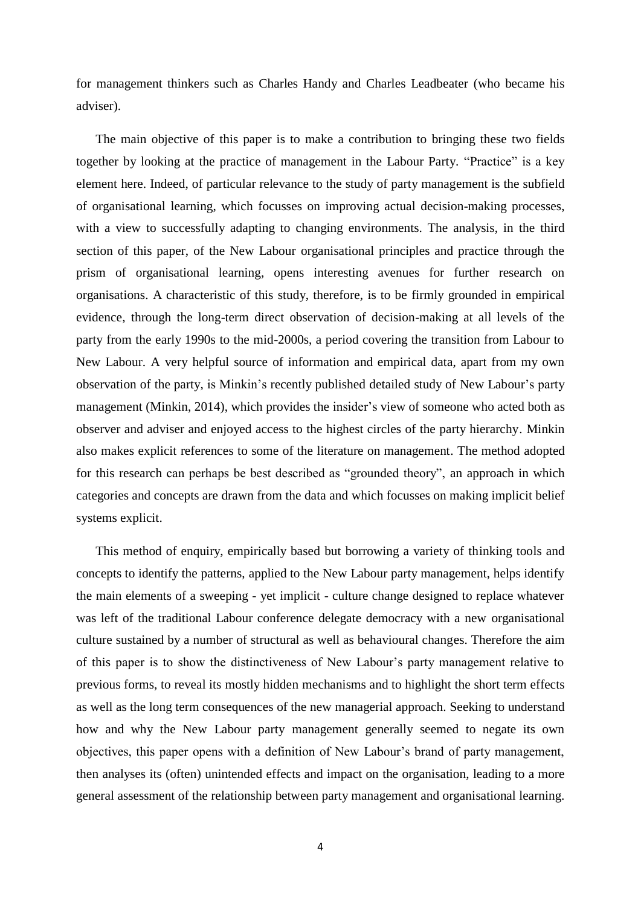for management thinkers such as Charles Handy and Charles Leadbeater (who became his adviser).

The main objective of this paper is to make a contribution to bringing these two fields together by looking at the practice of management in the Labour Party. "Practice" is a key element here. Indeed, of particular relevance to the study of party management is the subfield of organisational learning, which focusses on improving actual decision-making processes, with a view to successfully adapting to changing environments. The analysis, in the third section of this paper, of the New Labour organisational principles and practice through the prism of organisational learning, opens interesting avenues for further research on organisations. A characteristic of this study, therefore, is to be firmly grounded in empirical evidence, through the long-term direct observation of decision-making at all levels of the party from the early 1990s to the mid-2000s, a period covering the transition from Labour to New Labour. A very helpful source of information and empirical data, apart from my own observation of the party, is Minkin's recently published detailed study of New Labour's party management (Minkin, 2014), which provides the insider's view of someone who acted both as observer and adviser and enjoyed access to the highest circles of the party hierarchy. Minkin also makes explicit references to some of the literature on management. The method adopted for this research can perhaps be best described as "grounded theory", an approach in which categories and concepts are drawn from the data and which focusses on making implicit belief systems explicit.

This method of enquiry, empirically based but borrowing a variety of thinking tools and concepts to identify the patterns, applied to the New Labour party management, helps identify the main elements of a sweeping - yet implicit - culture change designed to replace whatever was left of the traditional Labour conference delegate democracy with a new organisational culture sustained by a number of structural as well as behavioural changes. Therefore the aim of this paper is to show the distinctiveness of New Labour's party management relative to previous forms, to reveal its mostly hidden mechanisms and to highlight the short term effects as well as the long term consequences of the new managerial approach. Seeking to understand how and why the New Labour party management generally seemed to negate its own objectives, this paper opens with a definition of New Labour's brand of party management, then analyses its (often) unintended effects and impact on the organisation, leading to a more general assessment of the relationship between party management and organisational learning.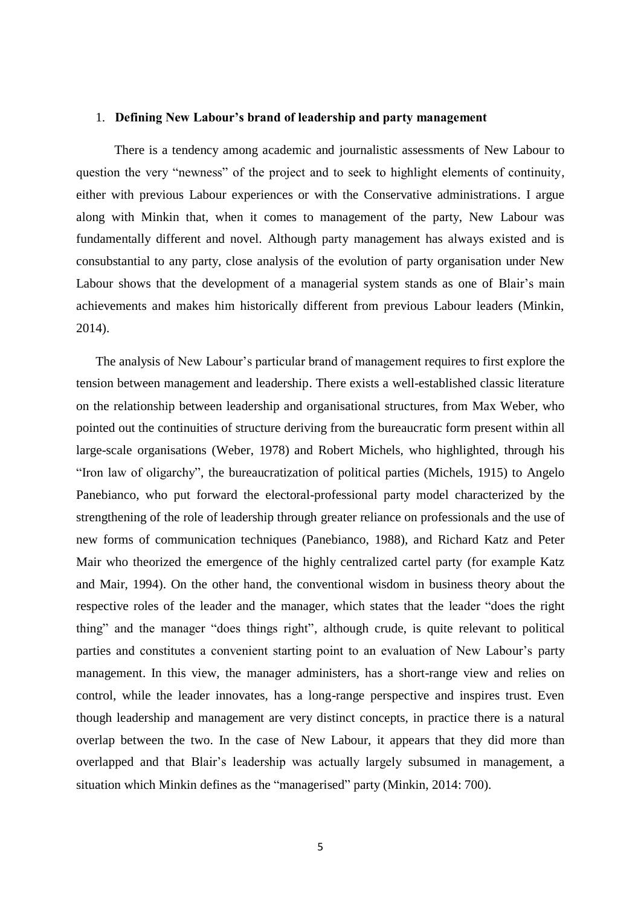### 1. **Defining New Labour's brand of leadership and party management**

There is a tendency among academic and journalistic assessments of New Labour to question the very "newness" of the project and to seek to highlight elements of continuity, either with previous Labour experiences or with the Conservative administrations. I argue along with Minkin that, when it comes to management of the party, New Labour was fundamentally different and novel. Although party management has always existed and is consubstantial to any party, close analysis of the evolution of party organisation under New Labour shows that the development of a managerial system stands as one of Blair's main achievements and makes him historically different from previous Labour leaders (Minkin, 2014).

The analysis of New Labour's particular brand of management requires to first explore the tension between management and leadership. There exists a well-established classic literature on the relationship between leadership and organisational structures, from Max Weber, who pointed out the continuities of structure deriving from the bureaucratic form present within all large-scale organisations (Weber, 1978) and Robert Michels, who highlighted, through his "Iron law of oligarchy", the bureaucratization of political parties (Michels, 1915) to Angelo Panebianco, who put forward the electoral-professional party model characterized by the strengthening of the role of leadership through greater reliance on professionals and the use of new forms of communication techniques (Panebianco, 1988), and Richard Katz and Peter Mair who theorized the emergence of the highly centralized cartel party (for example Katz and Mair, 1994). On the other hand, the conventional wisdom in business theory about the respective roles of the leader and the manager, which states that the leader "does the right thing" and the manager "does things right", although crude, is quite relevant to political parties and constitutes a convenient starting point to an evaluation of New Labour's party management. In this view, the manager administers, has a short-range view and relies on control, while the leader innovates, has a long-range perspective and inspires trust. Even though leadership and management are very distinct concepts, in practice there is a natural overlap between the two. In the case of New Labour, it appears that they did more than overlapped and that Blair's leadership was actually largely subsumed in management, a situation which Minkin defines as the "managerised" party (Minkin, 2014: 700).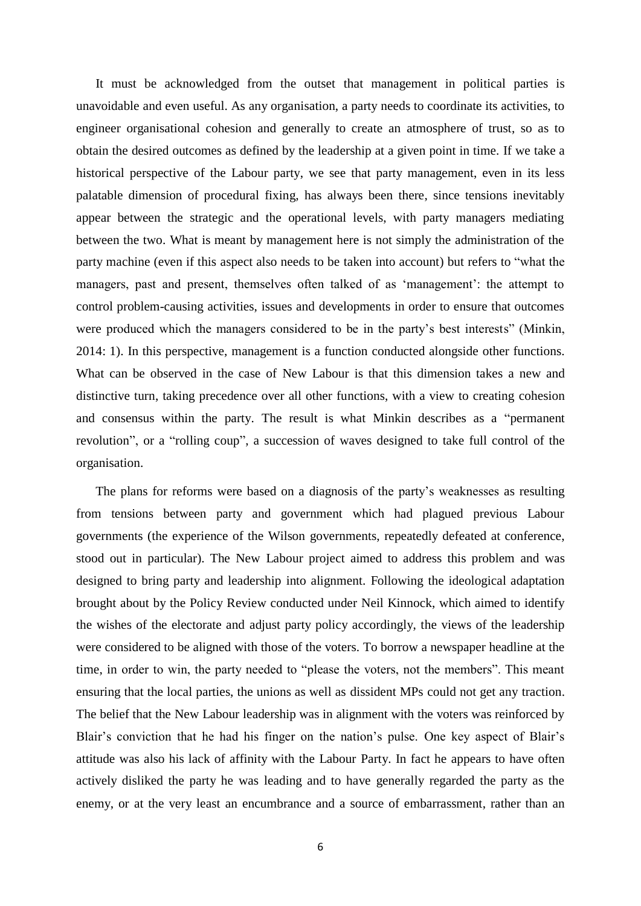It must be acknowledged from the outset that management in political parties is unavoidable and even useful. As any organisation, a party needs to coordinate its activities, to engineer organisational cohesion and generally to create an atmosphere of trust, so as to obtain the desired outcomes as defined by the leadership at a given point in time. If we take a historical perspective of the Labour party, we see that party management, even in its less palatable dimension of procedural fixing, has always been there, since tensions inevitably appear between the strategic and the operational levels, with party managers mediating between the two. What is meant by management here is not simply the administration of the party machine (even if this aspect also needs to be taken into account) but refers to "what the managers, past and present, themselves often talked of as 'management': the attempt to control problem-causing activities, issues and developments in order to ensure that outcomes were produced which the managers considered to be in the party's best interests" (Minkin, 2014: 1). In this perspective, management is a function conducted alongside other functions. What can be observed in the case of New Labour is that this dimension takes a new and distinctive turn, taking precedence over all other functions, with a view to creating cohesion and consensus within the party. The result is what Minkin describes as a "permanent revolution", or a "rolling coup", a succession of waves designed to take full control of the organisation.

The plans for reforms were based on a diagnosis of the party's weaknesses as resulting from tensions between party and government which had plagued previous Labour governments (the experience of the Wilson governments, repeatedly defeated at conference, stood out in particular). The New Labour project aimed to address this problem and was designed to bring party and leadership into alignment. Following the ideological adaptation brought about by the Policy Review conducted under Neil Kinnock, which aimed to identify the wishes of the electorate and adjust party policy accordingly, the views of the leadership were considered to be aligned with those of the voters. To borrow a newspaper headline at the time, in order to win, the party needed to "please the voters, not the members". This meant ensuring that the local parties, the unions as well as dissident MPs could not get any traction. The belief that the New Labour leadership was in alignment with the voters was reinforced by Blair's conviction that he had his finger on the nation's pulse. One key aspect of Blair's attitude was also his lack of affinity with the Labour Party. In fact he appears to have often actively disliked the party he was leading and to have generally regarded the party as the enemy, or at the very least an encumbrance and a source of embarrassment, rather than an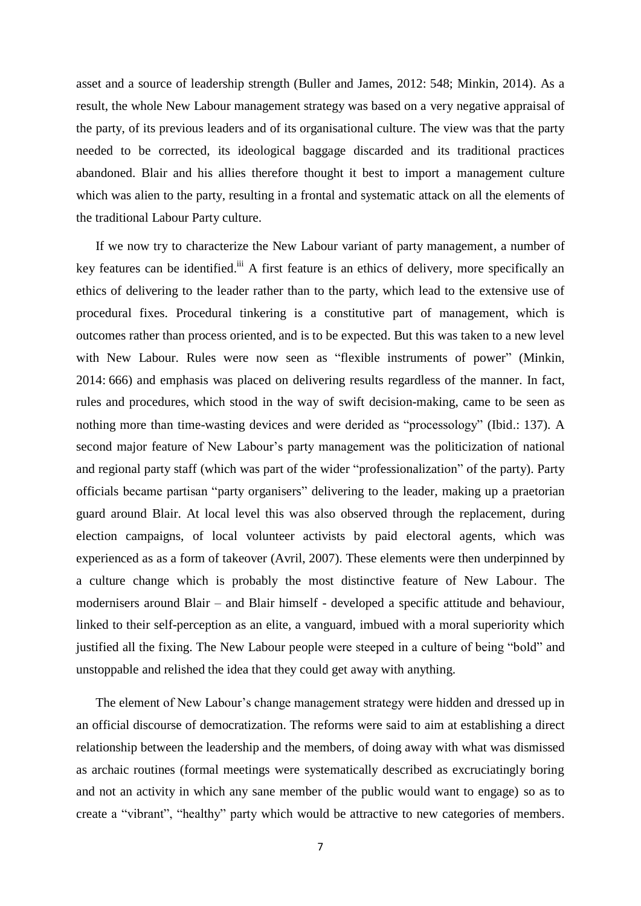asset and a source of leadership strength (Buller and James, 2012: 548; Minkin, 2014). As a result, the whole New Labour management strategy was based on a very negative appraisal of the party, of its previous leaders and of its organisational culture. The view was that the party needed to be corrected, its ideological baggage discarded and its traditional practices abandoned. Blair and his allies therefore thought it best to import a management culture which was alien to the party, resulting in a frontal and systematic attack on all the elements of the traditional Labour Party culture.

If we now try to characterize the New Labour variant of party management, a number of key features can be identified.<sup>iii</sup> A first feature is an ethics of delivery, more specifically an ethics of delivering to the leader rather than to the party, which lead to the extensive use of procedural fixes. Procedural tinkering is a constitutive part of management, which is outcomes rather than process oriented, and is to be expected. But this was taken to a new level with New Labour. Rules were now seen as "flexible instruments of power" (Minkin, 2014: 666) and emphasis was placed on delivering results regardless of the manner. In fact, rules and procedures, which stood in the way of swift decision-making, came to be seen as nothing more than time-wasting devices and were derided as "processology" (Ibid.: 137). A second major feature of New Labour's party management was the politicization of national and regional party staff (which was part of the wider "professionalization" of the party). Party officials became partisan "party organisers" delivering to the leader, making up a praetorian guard around Blair. At local level this was also observed through the replacement, during election campaigns, of local volunteer activists by paid electoral agents, which was experienced as as a form of takeover (Avril, 2007). These elements were then underpinned by a culture change which is probably the most distinctive feature of New Labour. The modernisers around Blair – and Blair himself - developed a specific attitude and behaviour, linked to their self-perception as an elite, a vanguard, imbued with a moral superiority which justified all the fixing. The New Labour people were steeped in a culture of being "bold" and unstoppable and relished the idea that they could get away with anything.

The element of New Labour's change management strategy were hidden and dressed up in an official discourse of democratization. The reforms were said to aim at establishing a direct relationship between the leadership and the members, of doing away with what was dismissed as archaic routines (formal meetings were systematically described as excruciatingly boring and not an activity in which any sane member of the public would want to engage) so as to create a "vibrant", "healthy" party which would be attractive to new categories of members.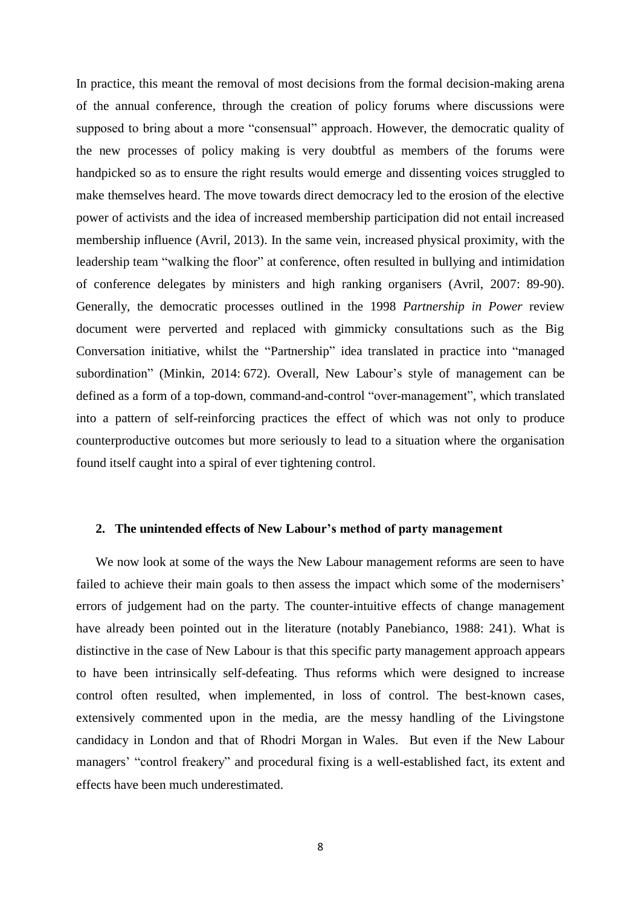In practice, this meant the removal of most decisions from the formal decision-making arena of the annual conference, through the creation of policy forums where discussions were supposed to bring about a more "consensual" approach. However, the democratic quality of the new processes of policy making is very doubtful as members of the forums were handpicked so as to ensure the right results would emerge and dissenting voices struggled to make themselves heard. The move towards direct democracy led to the erosion of the elective power of activists and the idea of increased membership participation did not entail increased membership influence (Avril, 2013). In the same vein, increased physical proximity, with the leadership team "walking the floor" at conference, often resulted in bullying and intimidation of conference delegates by ministers and high ranking organisers (Avril, 2007: 89-90). Generally, the democratic processes outlined in the 1998 *Partnership in Power* review document were perverted and replaced with gimmicky consultations such as the Big Conversation initiative, whilst the "Partnership" idea translated in practice into "managed subordination" (Minkin, 2014: 672). Overall, New Labour's style of management can be defined as a form of a top-down, command-and-control "over-management", which translated into a pattern of self-reinforcing practices the effect of which was not only to produce counterproductive outcomes but more seriously to lead to a situation where the organisation found itself caught into a spiral of ever tightening control.

#### **2. The unintended effects of New Labour's method of party management**

We now look at some of the ways the New Labour management reforms are seen to have failed to achieve their main goals to then assess the impact which some of the modernisers' errors of judgement had on the party. The counter-intuitive effects of change management have already been pointed out in the literature (notably Panebianco, 1988: 241). What is distinctive in the case of New Labour is that this specific party management approach appears to have been intrinsically self-defeating. Thus reforms which were designed to increase control often resulted, when implemented, in loss of control. The best-known cases, extensively commented upon in the media, are the messy handling of the Livingstone candidacy in London and that of Rhodri Morgan in Wales. But even if the New Labour managers' "control freakery" and procedural fixing is a well-established fact, its extent and effects have been much underestimated.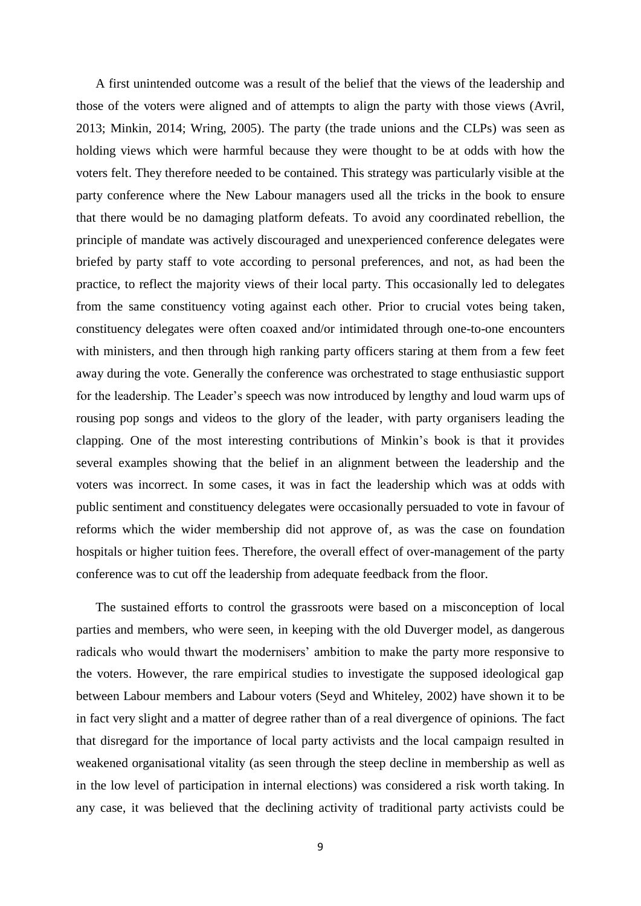A first unintended outcome was a result of the belief that the views of the leadership and those of the voters were aligned and of attempts to align the party with those views (Avril, 2013; Minkin, 2014; Wring, 2005). The party (the trade unions and the CLPs) was seen as holding views which were harmful because they were thought to be at odds with how the voters felt. They therefore needed to be contained. This strategy was particularly visible at the party conference where the New Labour managers used all the tricks in the book to ensure that there would be no damaging platform defeats. To avoid any coordinated rebellion, the principle of mandate was actively discouraged and unexperienced conference delegates were briefed by party staff to vote according to personal preferences, and not, as had been the practice, to reflect the majority views of their local party. This occasionally led to delegates from the same constituency voting against each other. Prior to crucial votes being taken, constituency delegates were often coaxed and/or intimidated through one-to-one encounters with ministers, and then through high ranking party officers staring at them from a few feet away during the vote. Generally the conference was orchestrated to stage enthusiastic support for the leadership. The Leader's speech was now introduced by lengthy and loud warm ups of rousing pop songs and videos to the glory of the leader, with party organisers leading the clapping. One of the most interesting contributions of Minkin's book is that it provides several examples showing that the belief in an alignment between the leadership and the voters was incorrect. In some cases, it was in fact the leadership which was at odds with public sentiment and constituency delegates were occasionally persuaded to vote in favour of reforms which the wider membership did not approve of, as was the case on foundation hospitals or higher tuition fees. Therefore, the overall effect of over-management of the party conference was to cut off the leadership from adequate feedback from the floor.

The sustained efforts to control the grassroots were based on a misconception of local parties and members, who were seen, in keeping with the old Duverger model, as dangerous radicals who would thwart the modernisers' ambition to make the party more responsive to the voters. However, the rare empirical studies to investigate the supposed ideological gap between Labour members and Labour voters (Seyd and Whiteley, 2002) have shown it to be in fact very slight and a matter of degree rather than of a real divergence of opinions. The fact that disregard for the importance of local party activists and the local campaign resulted in weakened organisational vitality (as seen through the steep decline in membership as well as in the low level of participation in internal elections) was considered a risk worth taking. In any case, it was believed that the declining activity of traditional party activists could be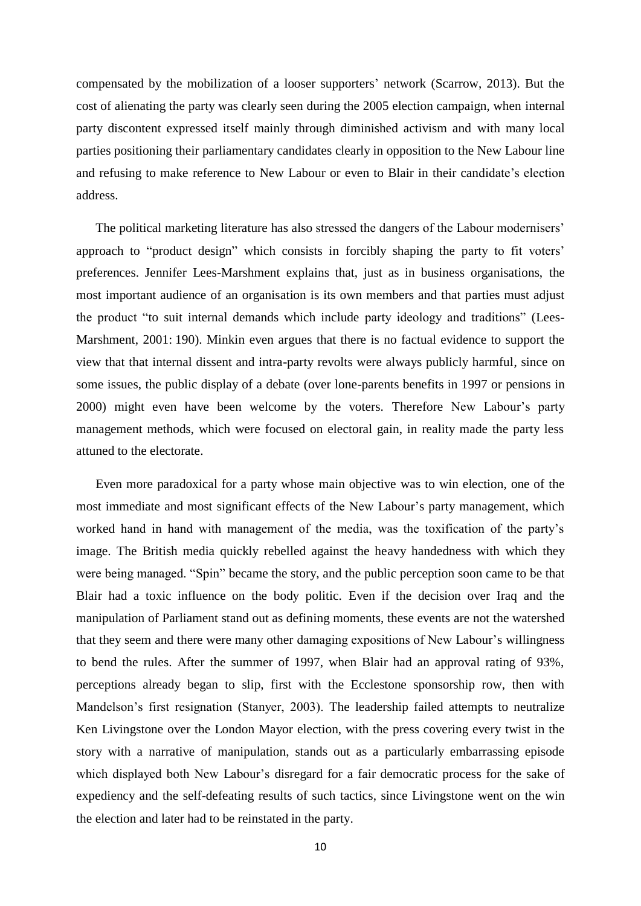compensated by the mobilization of a looser supporters' network (Scarrow, 2013). But the cost of alienating the party was clearly seen during the 2005 election campaign, when internal party discontent expressed itself mainly through diminished activism and with many local parties positioning their parliamentary candidates clearly in opposition to the New Labour line and refusing to make reference to New Labour or even to Blair in their candidate's election address.

The political marketing literature has also stressed the dangers of the Labour modernisers' approach to "product design" which consists in forcibly shaping the party to fit voters' preferences. Jennifer Lees-Marshment explains that, just as in business organisations, the most important audience of an organisation is its own members and that parties must adjust the product "to suit internal demands which include party ideology and traditions" (Lees-Marshment, 2001: 190). Minkin even argues that there is no factual evidence to support the view that that internal dissent and intra-party revolts were always publicly harmful, since on some issues, the public display of a debate (over lone-parents benefits in 1997 or pensions in 2000) might even have been welcome by the voters. Therefore New Labour's party management methods, which were focused on electoral gain, in reality made the party less attuned to the electorate.

Even more paradoxical for a party whose main objective was to win election, one of the most immediate and most significant effects of the New Labour's party management, which worked hand in hand with management of the media, was the toxification of the party's image. The British media quickly rebelled against the heavy handedness with which they were being managed. "Spin" became the story, and the public perception soon came to be that Blair had a toxic influence on the body politic. Even if the decision over Iraq and the manipulation of Parliament stand out as defining moments, these events are not the watershed that they seem and there were many other damaging expositions of New Labour's willingness to bend the rules. After the summer of 1997, when Blair had an approval rating of 93%, perceptions already began to slip, first with the Ecclestone sponsorship row, then with Mandelson's first resignation (Stanyer, 2003). The leadership failed attempts to neutralize Ken Livingstone over the London Mayor election, with the press covering every twist in the story with a narrative of manipulation, stands out as a particularly embarrassing episode which displayed both New Labour's disregard for a fair democratic process for the sake of expediency and the self-defeating results of such tactics, since Livingstone went on the win the election and later had to be reinstated in the party.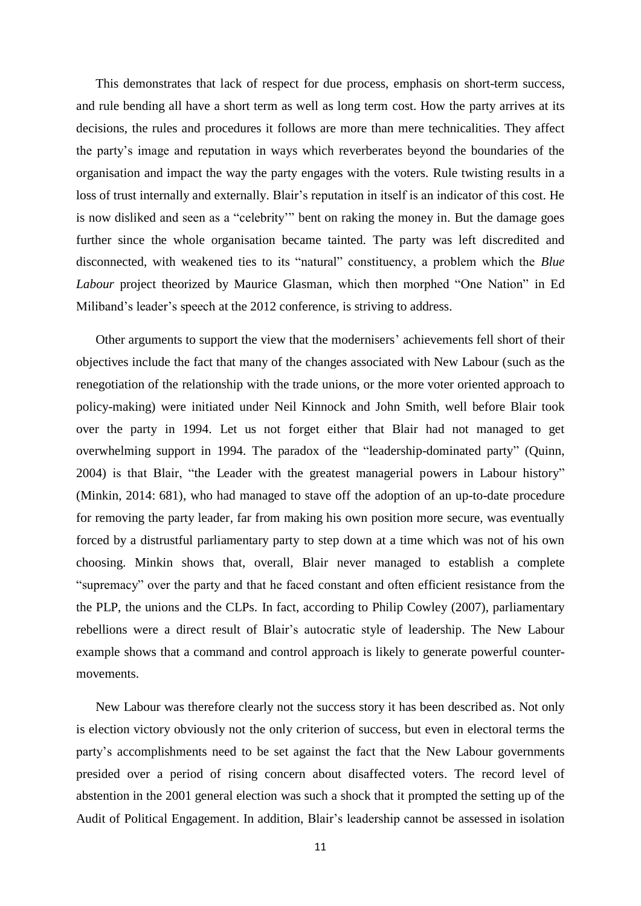This demonstrates that lack of respect for due process, emphasis on short-term success, and rule bending all have a short term as well as long term cost. How the party arrives at its decisions, the rules and procedures it follows are more than mere technicalities. They affect the party's image and reputation in ways which reverberates beyond the boundaries of the organisation and impact the way the party engages with the voters. Rule twisting results in a loss of trust internally and externally. Blair's reputation in itself is an indicator of this cost. He is now disliked and seen as a "celebrity'" bent on raking the money in. But the damage goes further since the whole organisation became tainted. The party was left discredited and disconnected, with weakened ties to its "natural" constituency, a problem which the *Blue Labour* project theorized by Maurice Glasman, which then morphed "One Nation" in Ed Miliband's leader's speech at the 2012 conference, is striving to address.

Other arguments to support the view that the modernisers' achievements fell short of their objectives include the fact that many of the changes associated with New Labour (such as the renegotiation of the relationship with the trade unions, or the more voter oriented approach to policy-making) were initiated under Neil Kinnock and John Smith, well before Blair took over the party in 1994. Let us not forget either that Blair had not managed to get overwhelming support in 1994. The paradox of the "leadership-dominated party" (Quinn, 2004) is that Blair, "the Leader with the greatest managerial powers in Labour history" (Minkin, 2014: 681), who had managed to stave off the adoption of an up-to-date procedure for removing the party leader, far from making his own position more secure, was eventually forced by a distrustful parliamentary party to step down at a time which was not of his own choosing. Minkin shows that, overall, Blair never managed to establish a complete "supremacy" over the party and that he faced constant and often efficient resistance from the the PLP, the unions and the CLPs. In fact, according to Philip Cowley (2007), parliamentary rebellions were a direct result of Blair's autocratic style of leadership. The New Labour example shows that a command and control approach is likely to generate powerful countermovements.

New Labour was therefore clearly not the success story it has been described as. Not only is election victory obviously not the only criterion of success, but even in electoral terms the party's accomplishments need to be set against the fact that the New Labour governments presided over a period of rising concern about disaffected voters. The record level of abstention in the 2001 general election was such a shock that it prompted the setting up of the Audit of Political Engagement. In addition, Blair's leadership cannot be assessed in isolation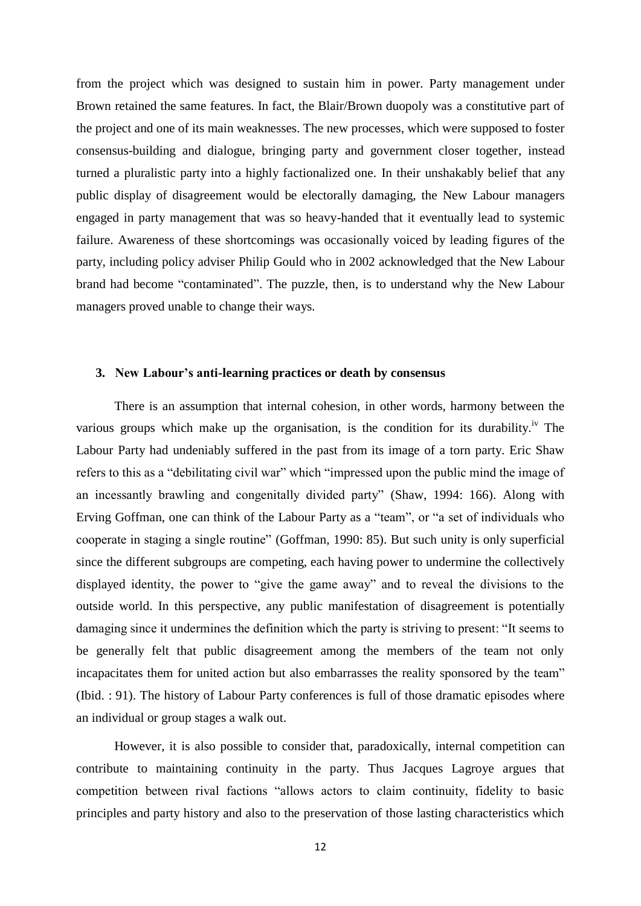from the project which was designed to sustain him in power. Party management under Brown retained the same features. In fact, the Blair/Brown duopoly was a constitutive part of the project and one of its main weaknesses. The new processes, which were supposed to foster consensus-building and dialogue, bringing party and government closer together, instead turned a pluralistic party into a highly factionalized one. In their unshakably belief that any public display of disagreement would be electorally damaging, the New Labour managers engaged in party management that was so heavy-handed that it eventually lead to systemic failure. Awareness of these shortcomings was occasionally voiced by leading figures of the party, including policy adviser Philip Gould who in 2002 acknowledged that the New Labour brand had become "contaminated". The puzzle, then, is to understand why the New Labour managers proved unable to change their ways.

## **3. New Labour's anti-learning practices or death by consensus**

There is an assumption that internal cohesion, in other words, harmony between the various groups which make up the organisation, is the condition for its durability.<sup>iv</sup> The Labour Party had undeniably suffered in the past from its image of a torn party. Eric Shaw refers to this as a "debilitating civil war" which "impressed upon the public mind the image of an incessantly brawling and congenitally divided party" (Shaw, 1994: 166). Along with Erving Goffman, one can think of the Labour Party as a "team", or "a set of individuals who cooperate in staging a single routine" (Goffman, 1990: 85). But such unity is only superficial since the different subgroups are competing, each having power to undermine the collectively displayed identity, the power to "give the game away" and to reveal the divisions to the outside world. In this perspective, any public manifestation of disagreement is potentially damaging since it undermines the definition which the party is striving to present: "It seems to be generally felt that public disagreement among the members of the team not only incapacitates them for united action but also embarrasses the reality sponsored by the team" (Ibid. : 91). The history of Labour Party conferences is full of those dramatic episodes where an individual or group stages a walk out.

However, it is also possible to consider that, paradoxically, internal competition can contribute to maintaining continuity in the party. Thus Jacques Lagroye argues that competition between rival factions "allows actors to claim continuity, fidelity to basic principles and party history and also to the preservation of those lasting characteristics which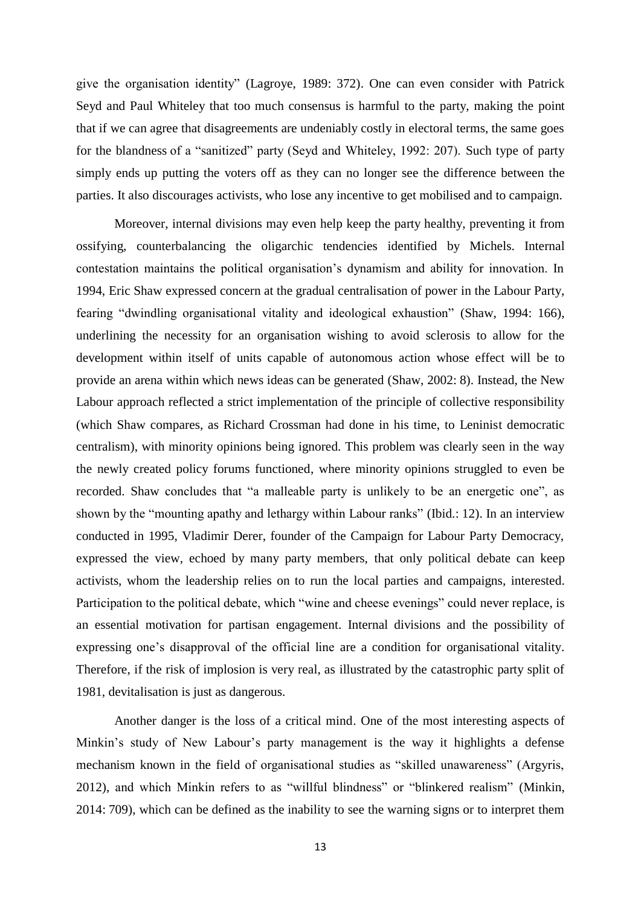give the organisation identity" (Lagroye, 1989: 372). One can even consider with Patrick Seyd and Paul Whiteley that too much consensus is harmful to the party, making the point that if we can agree that disagreements are undeniably costly in electoral terms, the same goes for the blandness of a "sanitized" party (Seyd and Whiteley, 1992: 207). Such type of party simply ends up putting the voters off as they can no longer see the difference between the parties. It also discourages activists, who lose any incentive to get mobilised and to campaign.

Moreover, internal divisions may even help keep the party healthy, preventing it from ossifying, counterbalancing the oligarchic tendencies identified by Michels. Internal contestation maintains the political organisation's dynamism and ability for innovation. In 1994, Eric Shaw expressed concern at the gradual centralisation of power in the Labour Party, fearing "dwindling organisational vitality and ideological exhaustion" (Shaw, 1994: 166), underlining the necessity for an organisation wishing to avoid sclerosis to allow for the development within itself of units capable of autonomous action whose effect will be to provide an arena within which news ideas can be generated (Shaw, 2002: 8). Instead, the New Labour approach reflected a strict implementation of the principle of collective responsibility (which Shaw compares, as Richard Crossman had done in his time, to Leninist democratic centralism), with minority opinions being ignored. This problem was clearly seen in the way the newly created policy forums functioned, where minority opinions struggled to even be recorded. Shaw concludes that "a malleable party is unlikely to be an energetic one", as shown by the "mounting apathy and lethargy within Labour ranks" (Ibid.: 12). In an interview conducted in 1995, Vladimir Derer, founder of the Campaign for Labour Party Democracy, expressed the view, echoed by many party members, that only political debate can keep activists, whom the leadership relies on to run the local parties and campaigns, interested. Participation to the political debate, which "wine and cheese evenings" could never replace, is an essential motivation for partisan engagement. Internal divisions and the possibility of expressing one's disapproval of the official line are a condition for organisational vitality. Therefore, if the risk of implosion is very real, as illustrated by the catastrophic party split of 1981, devitalisation is just as dangerous.

Another danger is the loss of a critical mind. One of the most interesting aspects of Minkin's study of New Labour's party management is the way it highlights a defense mechanism known in the field of organisational studies as "skilled unawareness" (Argyris, 2012), and which Minkin refers to as "willful blindness" or "blinkered realism" (Minkin, 2014: 709), which can be defined as the inability to see the warning signs or to interpret them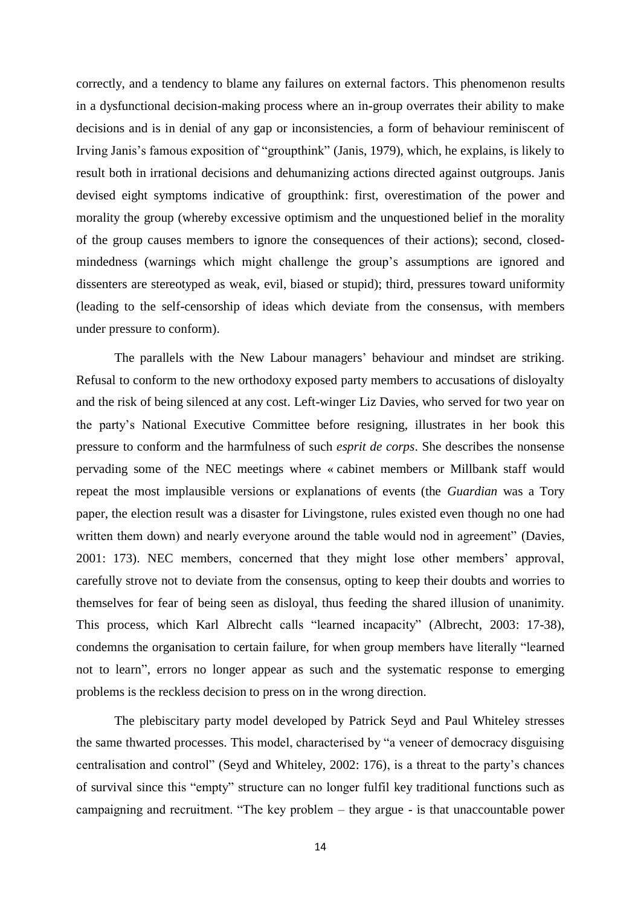correctly, and a tendency to blame any failures on external factors. This phenomenon results in a dysfunctional decision-making process where an in-group overrates their ability to make decisions and is in denial of any gap or inconsistencies, a form of behaviour reminiscent of Irving Janis's famous exposition of "groupthink" (Janis, 1979), which, he explains, is likely to result both in irrational decisions and dehumanizing actions directed against outgroups. Janis devised eight symptoms indicative of groupthink: first, overestimation of the power and morality the group (whereby excessive optimism and the unquestioned belief in the morality of the group causes members to ignore the consequences of their actions); second, closedmindedness (warnings which might challenge the group's assumptions are ignored and dissenters are stereotyped as weak, evil, biased or stupid); third, pressures toward uniformity (leading to the self-censorship of ideas which deviate from the consensus, with members under pressure to conform).

The parallels with the New Labour managers' behaviour and mindset are striking. Refusal to conform to the new orthodoxy exposed party members to accusations of disloyalty and the risk of being silenced at any cost. Left-winger Liz Davies, who served for two year on the party's National Executive Committee before resigning, illustrates in her book this pressure to conform and the harmfulness of such *esprit de corps*. She describes the nonsense pervading some of the NEC meetings where « cabinet members or Millbank staff would repeat the most implausible versions or explanations of events (the *Guardian* was a Tory paper, the election result was a disaster for Livingstone, rules existed even though no one had written them down) and nearly everyone around the table would nod in agreement" (Davies, 2001: 173). NEC members, concerned that they might lose other members' approval, carefully strove not to deviate from the consensus, opting to keep their doubts and worries to themselves for fear of being seen as disloyal, thus feeding the shared illusion of unanimity. This process, which Karl Albrecht calls "learned incapacity" (Albrecht, 2003: 17-38), condemns the organisation to certain failure, for when group members have literally "learned not to learn", errors no longer appear as such and the systematic response to emerging problems is the reckless decision to press on in the wrong direction.

The plebiscitary party model developed by Patrick Seyd and Paul Whiteley stresses the same thwarted processes. This model, characterised by "a veneer of democracy disguising centralisation and control" (Seyd and Whiteley, 2002: 176), is a threat to the party's chances of survival since this "empty" structure can no longer fulfil key traditional functions such as campaigning and recruitment. "The key problem – they argue - is that unaccountable power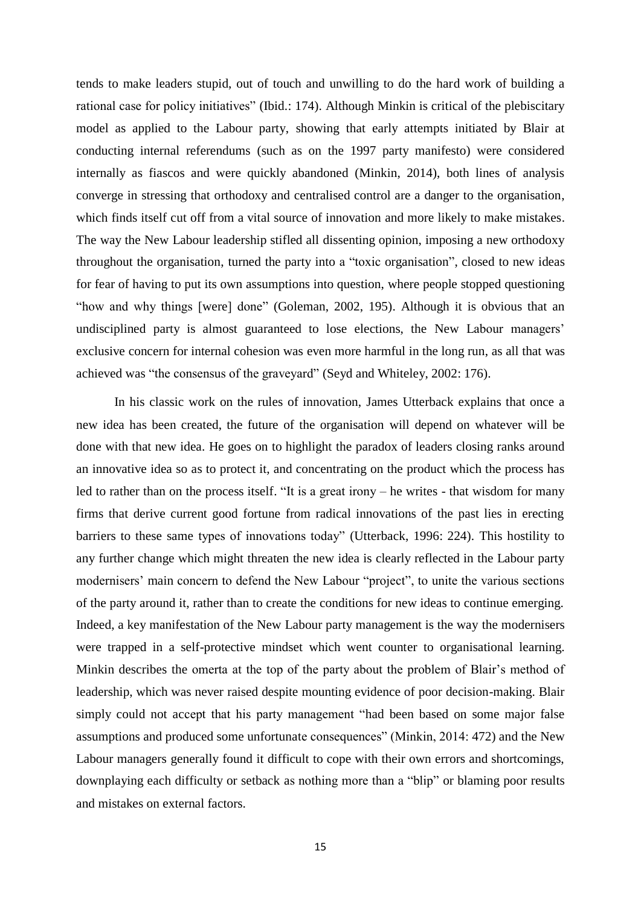tends to make leaders stupid, out of touch and unwilling to do the hard work of building a rational case for policy initiatives" (Ibid.: 174). Although Minkin is critical of the plebiscitary model as applied to the Labour party, showing that early attempts initiated by Blair at conducting internal referendums (such as on the 1997 party manifesto) were considered internally as fiascos and were quickly abandoned (Minkin, 2014), both lines of analysis converge in stressing that orthodoxy and centralised control are a danger to the organisation, which finds itself cut off from a vital source of innovation and more likely to make mistakes. The way the New Labour leadership stifled all dissenting opinion, imposing a new orthodoxy throughout the organisation, turned the party into a "toxic organisation", closed to new ideas for fear of having to put its own assumptions into question, where people stopped questioning "how and why things [were] done" (Goleman, 2002, 195). Although it is obvious that an undisciplined party is almost guaranteed to lose elections, the New Labour managers' exclusive concern for internal cohesion was even more harmful in the long run, as all that was achieved was "the consensus of the graveyard" (Seyd and Whiteley, 2002: 176).

In his classic work on the rules of innovation, James Utterback explains that once a new idea has been created, the future of the organisation will depend on whatever will be done with that new idea. He goes on to highlight the paradox of leaders closing ranks around an innovative idea so as to protect it, and concentrating on the product which the process has led to rather than on the process itself. "It is a great irony – he writes - that wisdom for many firms that derive current good fortune from radical innovations of the past lies in erecting barriers to these same types of innovations today" (Utterback, 1996: 224). This hostility to any further change which might threaten the new idea is clearly reflected in the Labour party modernisers' main concern to defend the New Labour "project", to unite the various sections of the party around it, rather than to create the conditions for new ideas to continue emerging. Indeed, a key manifestation of the New Labour party management is the way the modernisers were trapped in a self-protective mindset which went counter to organisational learning. Minkin describes the omerta at the top of the party about the problem of Blair's method of leadership, which was never raised despite mounting evidence of poor decision-making. Blair simply could not accept that his party management "had been based on some major false assumptions and produced some unfortunate consequences" (Minkin, 2014: 472) and the New Labour managers generally found it difficult to cope with their own errors and shortcomings, downplaying each difficulty or setback as nothing more than a "blip" or blaming poor results and mistakes on external factors.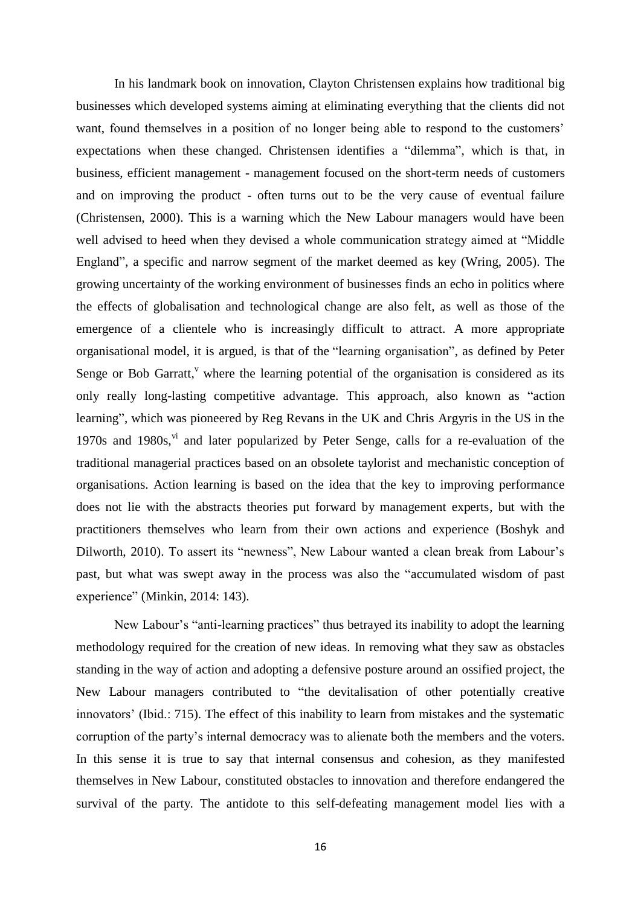In his landmark book on innovation, Clayton Christensen explains how traditional big businesses which developed systems aiming at eliminating everything that the clients did not want, found themselves in a position of no longer being able to respond to the customers' expectations when these changed. Christensen identifies a "dilemma", which is that, in business, efficient management - management focused on the short-term needs of customers and on improving the product - often turns out to be the very cause of eventual failure (Christensen, 2000). This is a warning which the New Labour managers would have been well advised to heed when they devised a whole communication strategy aimed at "Middle England", a specific and narrow segment of the market deemed as key (Wring, 2005). The growing uncertainty of the working environment of businesses finds an echo in politics where the effects of globalisation and technological change are also felt, as well as those of the emergence of a clientele who is increasingly difficult to attract. A more appropriate organisational model, it is argued, is that of the "learning organisation", as defined by Peter Senge or Bob Garratt, $v$  where the learning potential of the organisation is considered as its only really long-lasting competitive advantage. This approach, also known as "action learning", which was pioneered by Reg Revans in the UK and Chris Argyris in the US in the 1970s and 1980s,<sup>vi</sup> and later popularized by Peter Senge, calls for a re-evaluation of the traditional managerial practices based on an obsolete taylorist and mechanistic conception of organisations. Action learning is based on the idea that the key to improving performance does not lie with the abstracts theories put forward by management experts, but with the practitioners themselves who learn from their own actions and experience (Boshyk and Dilworth, 2010). To assert its "newness", New Labour wanted a clean break from Labour's past, but what was swept away in the process was also the "accumulated wisdom of past experience" (Minkin, 2014: 143).

New Labour's "anti-learning practices" thus betrayed its inability to adopt the learning methodology required for the creation of new ideas. In removing what they saw as obstacles standing in the way of action and adopting a defensive posture around an ossified project, the New Labour managers contributed to "the devitalisation of other potentially creative innovators' (Ibid.: 715). The effect of this inability to learn from mistakes and the systematic corruption of the party's internal democracy was to alienate both the members and the voters. In this sense it is true to say that internal consensus and cohesion, as they manifested themselves in New Labour, constituted obstacles to innovation and therefore endangered the survival of the party. The antidote to this self-defeating management model lies with a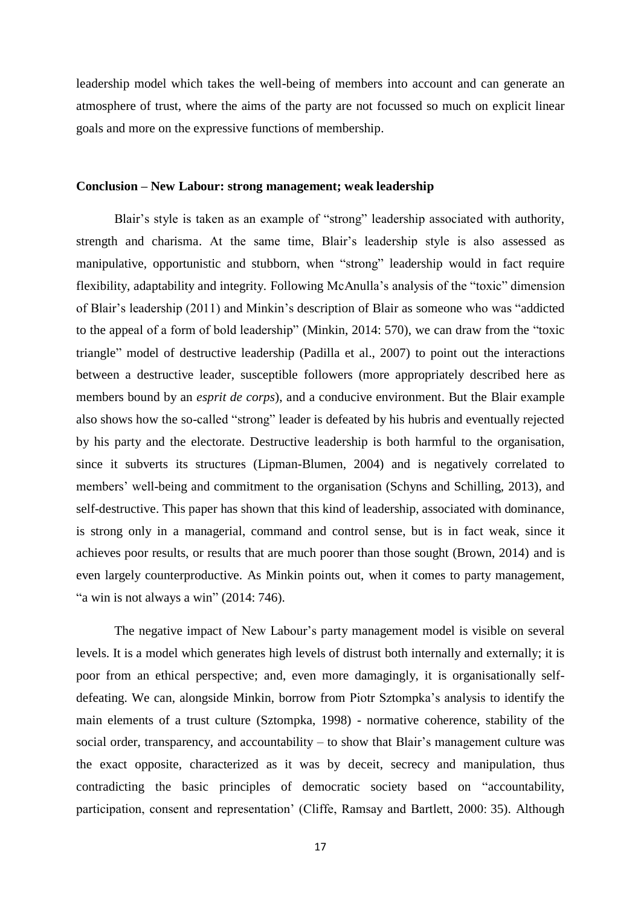leadership model which takes the well-being of members into account and can generate an atmosphere of trust, where the aims of the party are not focussed so much on explicit linear goals and more on the expressive functions of membership.

### **Conclusion – New Labour: strong management; weak leadership**

Blair's style is taken as an example of "strong" leadership associated with authority, strength and charisma. At the same time, Blair's leadership style is also assessed as manipulative, opportunistic and stubborn, when "strong" leadership would in fact require flexibility, adaptability and integrity. Following McAnulla's analysis of the "toxic" dimension of Blair's leadership (2011) and Minkin's description of Blair as someone who was "addicted to the appeal of a form of bold leadership" (Minkin, 2014: 570), we can draw from the "toxic triangle" model of destructive leadership (Padilla et al., 2007) to point out the interactions between a destructive leader, susceptible followers (more appropriately described here as members bound by an *esprit de corps*), and a conducive environment. But the Blair example also shows how the so-called "strong" leader is defeated by his hubris and eventually rejected by his party and the electorate. Destructive leadership is both harmful to the organisation, since it subverts its structures (Lipman-Blumen, 2004) and is negatively correlated to members' well-being and commitment to the organisation (Schyns and Schilling, 2013), and self-destructive. This paper has shown that this kind of leadership, associated with dominance, is strong only in a managerial, command and control sense, but is in fact weak, since it achieves poor results, or results that are much poorer than those sought (Brown, 2014) and is even largely counterproductive. As Minkin points out, when it comes to party management, "a win is not always a win"  $(2014:746)$ .

The negative impact of New Labour's party management model is visible on several levels. It is a model which generates high levels of distrust both internally and externally; it is poor from an ethical perspective; and, even more damagingly, it is organisationally selfdefeating. We can, alongside Minkin, borrow from Piotr Sztompka's analysis to identify the main elements of a trust culture (Sztompka, 1998) - normative coherence, stability of the social order, transparency, and accountability – to show that Blair's management culture was the exact opposite, characterized as it was by deceit, secrecy and manipulation, thus contradicting the basic principles of democratic society based on "accountability, participation, consent and representation' (Cliffe, Ramsay and Bartlett, 2000: 35). Although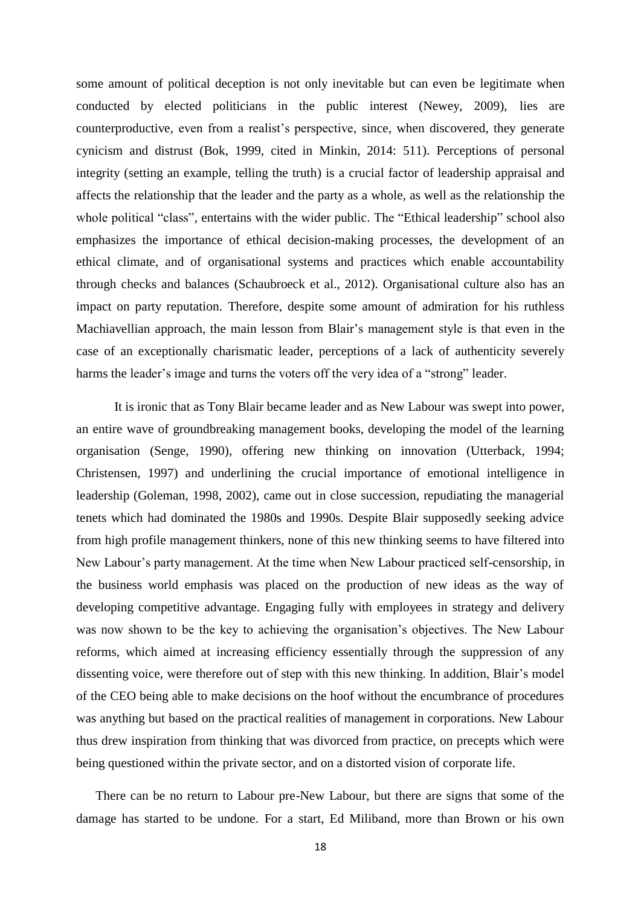some amount of political deception is not only inevitable but can even be legitimate when conducted by elected politicians in the public interest (Newey, 2009), lies are counterproductive, even from a realist's perspective, since, when discovered, they generate cynicism and distrust (Bok, 1999, cited in Minkin, 2014: 511). Perceptions of personal integrity (setting an example, telling the truth) is a crucial factor of leadership appraisal and affects the relationship that the leader and the party as a whole, as well as the relationship the whole political "class", entertains with the wider public. The "Ethical leadership" school also emphasizes the importance of ethical decision-making processes, the development of an ethical climate, and of organisational systems and practices which enable accountability through checks and balances (Schaubroeck et al., 2012). Organisational culture also has an impact on party reputation. Therefore, despite some amount of admiration for his ruthless Machiavellian approach, the main lesson from Blair's management style is that even in the case of an exceptionally charismatic leader, perceptions of a lack of authenticity severely harms the leader's image and turns the voters off the very idea of a "strong" leader.

It is ironic that as Tony Blair became leader and as New Labour was swept into power, an entire wave of groundbreaking management books, developing the model of the learning organisation (Senge, 1990), offering new thinking on innovation (Utterback, 1994; Christensen, 1997) and underlining the crucial importance of emotional intelligence in leadership (Goleman, 1998, 2002), came out in close succession, repudiating the managerial tenets which had dominated the 1980s and 1990s. Despite Blair supposedly seeking advice from high profile management thinkers, none of this new thinking seems to have filtered into New Labour's party management. At the time when New Labour practiced self-censorship, in the business world emphasis was placed on the production of new ideas as the way of developing competitive advantage. Engaging fully with employees in strategy and delivery was now shown to be the key to achieving the organisation's objectives. The New Labour reforms, which aimed at increasing efficiency essentially through the suppression of any dissenting voice, were therefore out of step with this new thinking. In addition, Blair's model of the CEO being able to make decisions on the hoof without the encumbrance of procedures was anything but based on the practical realities of management in corporations. New Labour thus drew inspiration from thinking that was divorced from practice, on precepts which were being questioned within the private sector, and on a distorted vision of corporate life.

There can be no return to Labour pre-New Labour, but there are signs that some of the damage has started to be undone. For a start, Ed Miliband, more than Brown or his own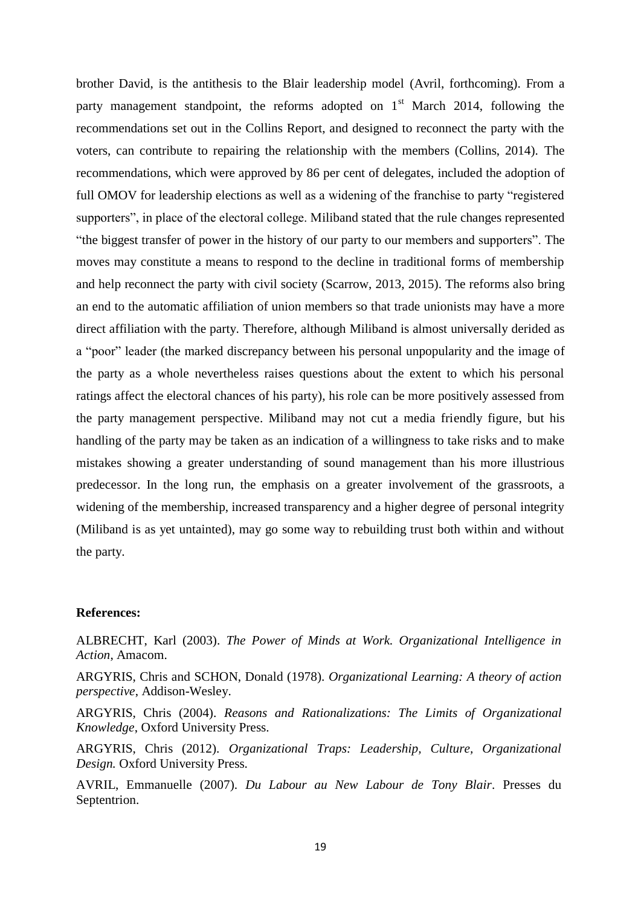brother David, is the antithesis to the Blair leadership model (Avril, forthcoming). From a party management standpoint, the reforms adopted on  $1<sup>st</sup>$  March 2014, following the recommendations set out in the Collins Report, and designed to reconnect the party with the voters, can contribute to repairing the relationship with the members (Collins, 2014). The recommendations, which were approved by 86 per cent of delegates, included the adoption of full OMOV for leadership elections as well as a widening of the franchise to party "registered supporters", in place of the electoral college. Miliband stated that the rule changes represented "the biggest transfer of power in the history of our party to our members and supporters". The moves may constitute a means to respond to the decline in traditional forms of membership and help reconnect the party with civil society (Scarrow, 2013, 2015). The reforms also bring an end to the automatic affiliation of union members so that trade unionists may have a more direct affiliation with the party. Therefore, although Miliband is almost universally derided as a "poor" leader (the marked discrepancy between his personal unpopularity and the image of the party as a whole nevertheless raises questions about the extent to which his personal ratings affect the electoral chances of his party), his role can be more positively assessed from the party management perspective. Miliband may not cut a media friendly figure, but his handling of the party may be taken as an indication of a willingness to take risks and to make mistakes showing a greater understanding of sound management than his more illustrious predecessor. In the long run, the emphasis on a greater involvement of the grassroots, a widening of the membership, increased transparency and a higher degree of personal integrity (Miliband is as yet untainted), may go some way to rebuilding trust both within and without the party.

#### **References:**

ALBRECHT, Karl (2003). *The Power of Minds at Work. Organizational Intelligence in Action*, Amacom.

ARGYRIS, Chris and SCHON, Donald (1978). *Organizational Learning: A theory of action perspective*, Addison-Wesley.

ARGYRIS, Chris (2004). *Reasons and Rationalizations: The Limits of Organizational Knowledge*, Oxford University Press.

ARGYRIS, Chris (2012). *Organizational Traps: Leadership, Culture, Organizational Design.* Oxford University Press.

AVRIL, Emmanuelle (2007). *Du Labour au New Labour de Tony Blair*. Presses du Septentrion.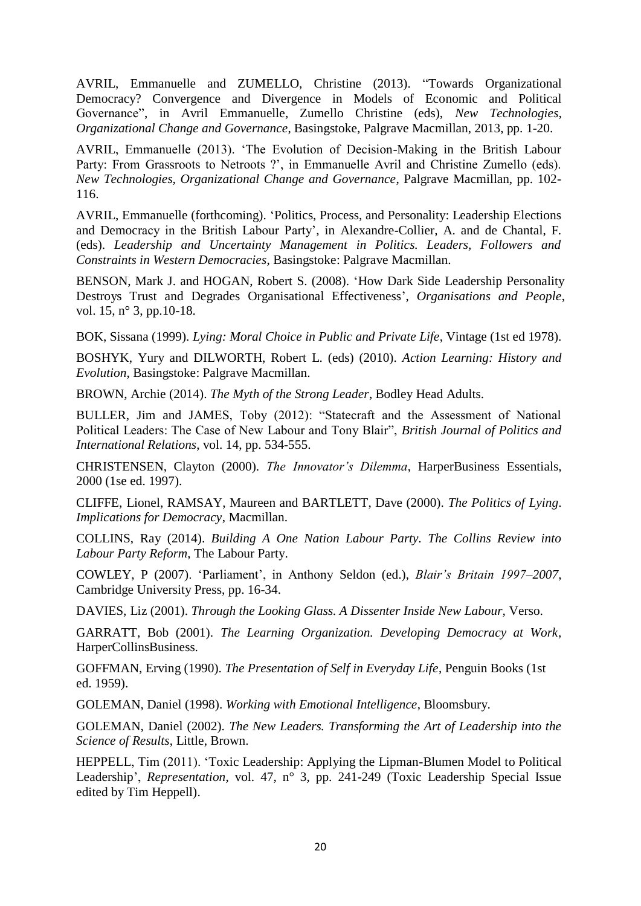AVRIL, Emmanuelle and ZUMELLO, Christine (2013). "Towards Organizational Democracy? Convergence and Divergence in Models of Economic and Political Governance", in Avril Emmanuelle, Zumello Christine (eds), *New Technologies, Organizational Change and Governance*, Basingstoke, Palgrave Macmillan, 2013, pp. 1-20.

AVRIL, Emmanuelle (2013). 'The Evolution of Decision-Making in the British Labour Party: From Grassroots to Netroots ?', in Emmanuelle Avril and Christine Zumello (eds). *New Technologies, Organizational Change and Governance*, Palgrave Macmillan, pp. 102- 116.

AVRIL, Emmanuelle (forthcoming). 'Politics, Process, and Personality: Leadership Elections and Democracy in the British Labour Party', in Alexandre-Collier, A. and de Chantal, F. (eds). *Leadership and Uncertainty Management in Politics. Leaders, Followers and Constraints in Western Democracies*, Basingstoke: Palgrave Macmillan.

BENSON, Mark J. and HOGAN, Robert S. (2008). 'How Dark Side Leadership Personality Destroys Trust and Degrades Organisational Effectiveness', *Organisations and People*, vol. 15, n° 3, pp. 10-18.

BOK, Sissana (1999). *Lying: Moral Choice in Public and Private Life*, Vintage (1st ed 1978).

BOSHYK, Yury and DILWORTH, Robert L. (eds) (2010). *Action Learning: History and Evolution*, Basingstoke: Palgrave Macmillan.

BROWN, Archie (2014). *The Myth of the Strong Leader*, Bodley Head Adults.

BULLER, Jim and JAMES, Toby (2012): "Statecraft and the Assessment of National Political Leaders: The Case of New Labour and Tony Blair", *British Journal of Politics and International Relations*, vol. 14, pp. 534-555.

CHRISTENSEN, Clayton (2000). *The Innovator's Dilemma*, HarperBusiness Essentials, 2000 (1se ed. 1997).

CLIFFE, Lionel, RAMSAY, Maureen and BARTLETT, Dave (2000). *The Politics of Lying*. *Implications for Democracy*, Macmillan.

COLLINS, Ray (2014). *Building A One Nation Labour Party. The Collins Review into Labour Party Reform*, The Labour Party.

COWLEY, P (2007). 'Parliament', in Anthony Seldon (ed.), *Blair's Britain 1997–2007*, Cambridge University Press, pp. 16-34.

DAVIES, Liz (2001). *Through the Looking Glass. A Dissenter Inside New Labour,* Verso.

GARRATT, Bob (2001). *The Learning Organization. Developing Democracy at Work*, HarperCollinsBusiness.

GOFFMAN, Erving (1990). *The Presentation of Self in Everyday Life*, Penguin Books (1st ed. 1959).

GOLEMAN, Daniel (1998). *Working with Emotional Intelligence*, Bloomsbury.

GOLEMAN, Daniel (2002). *The New Leaders. Transforming the Art of Leadership into the Science of Results*, Little, Brown.

HEPPELL, Tim (2011). 'Toxic Leadership: Applying the Lipman-Blumen Model to Political Leadership', *Representation*, vol. 47, n° 3, pp. 241-249 (Toxic Leadership Special Issue edited by Tim Heppell).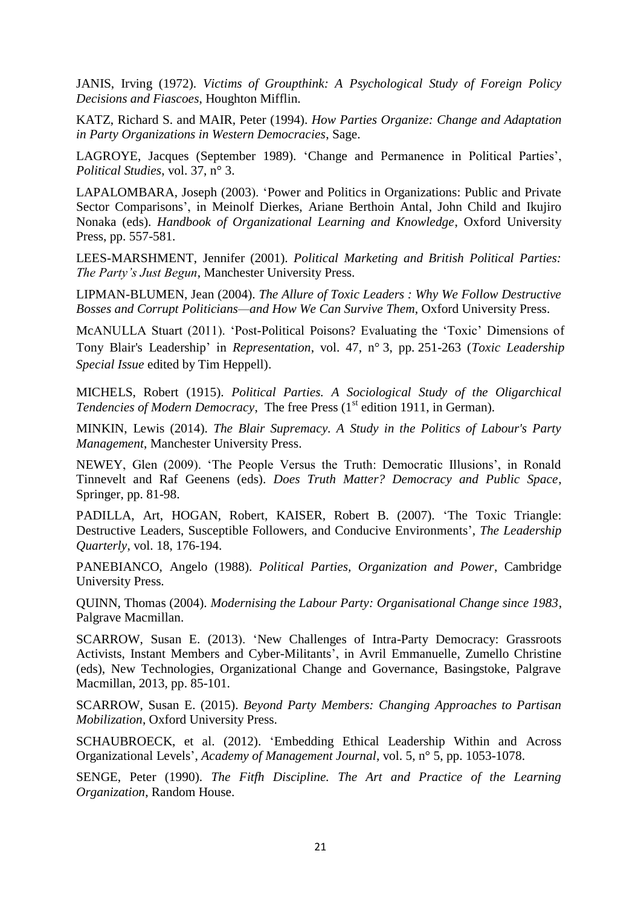JANIS, Irving (1972). *Victims of Groupthink: A Psychological Study of Foreign Policy Decisions and Fiascoes*, Houghton Mifflin.

KATZ, Richard S. and MAIR, Peter (1994). *How Parties Organize: Change and Adaptation in Party Organizations in Western Democracies*, Sage.

LAGROYE, Jacques (September 1989). 'Change and Permanence in Political Parties', *Political Studies*, vol. 37, n° 3.

LAPALOMBARA, Joseph (2003). 'Power and Politics in Organizations: Public and Private Sector Comparisons', in Meinolf Dierkes, Ariane Berthoin Antal, John Child and Ikujiro Nonaka (eds). *Handbook of Organizational Learning and Knowledge*, Oxford University Press, pp. 557-581.

LEES-MARSHMENT, Jennifer (2001). *Political Marketing and British Political Parties: The Party's Just Begun*, Manchester University Press.

LIPMAN-BLUMEN, Jean (2004). *The Allure of Toxic Leaders : Why We Follow Destructive Bosses and Corrupt Politicians—and How We Can Survive Them*, Oxford University Press.

McANULLA Stuart (2011). 'Post-Political Poisons? Evaluating the 'Toxic' Dimensions of Tony Blair's Leadership' in *Representation*, vol. 47, n° 3, pp. 251-263 (*Toxic Leadership Special Issue* edited by Tim Heppell).

MICHELS, Robert (1915). *Political Parties. A Sociological Study of the Oligarchical Tendencies of Modern Democracy*, The free Press (1<sup>st</sup> edition 1911, in German).

MINKIN, Lewis (2014). *The Blair Supremacy. A Study in the Politics of Labour's Party Management*, Manchester University Press.

NEWEY, Glen (2009). 'The People Versus the Truth: Democratic Illusions', in Ronald Tinnevelt and Raf Geenens (eds). *Does Truth Matter? Democracy and Public Space*, Springer, pp. 81-98.

PADILLA, Art, HOGAN, Robert, KAISER, Robert B. (2007). 'The Toxic Triangle: Destructive Leaders, Susceptible Followers, and Conducive Environments', *The Leadership Quarterly*, vol. 18, 176-194.

PANEBIANCO, Angelo (1988). *Political Parties, Organization and Power*, Cambridge University Press.

QUINN, Thomas (2004). *Modernising the Labour Party: Organisational Change since 1983*, Palgrave Macmillan.

SCARROW, Susan E. (2013). 'New Challenges of Intra-Party Democracy: Grassroots Activists, Instant Members and Cyber-Militants', in Avril Emmanuelle, Zumello Christine (eds), New Technologies, Organizational Change and Governance, Basingstoke, Palgrave Macmillan, 2013, pp. 85-101.

SCARROW, Susan E. (2015). *Beyond Party Members: Changing Approaches to Partisan Mobilization*, Oxford University Press.

SCHAUBROECK, et al. (2012). 'Embedding Ethical Leadership Within and Across Organizational Levels', *Academy of Management Journal*, vol. 5, n° 5, pp. 1053-1078.

SENGE, Peter (1990). *The Fitfh Discipline. The Art and Practice of the Learning Organization*, Random House.